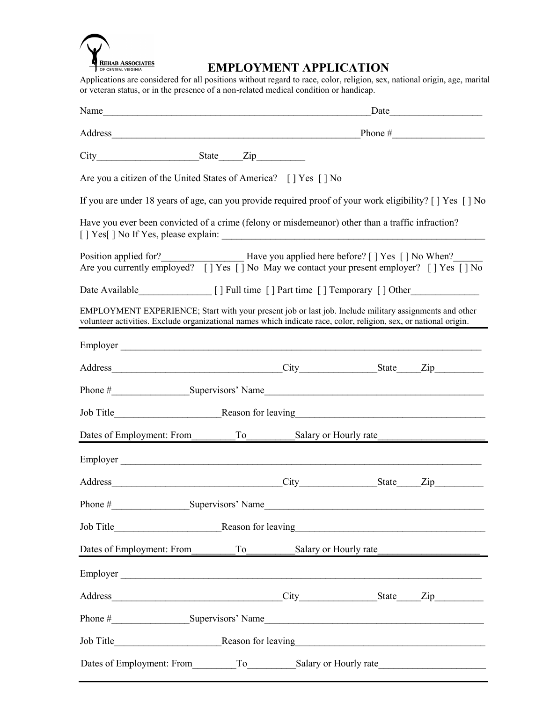

## **EMPLOYMENT APPLICATION**

Applications are considered for all positions without regard to race, color, religion, sex, national origin, age, marital or veteran status, or in the presence of a non-related medical condition or handicap.

| Are you a citizen of the United States of America? [] Yes [] No                                                                                                                                                             |  |                                                                                                                       |  |  |  |  |
|-----------------------------------------------------------------------------------------------------------------------------------------------------------------------------------------------------------------------------|--|-----------------------------------------------------------------------------------------------------------------------|--|--|--|--|
| If you are under 18 years of age, can you provide required proof of your work eligibility? [ ] Yes [ ] No                                                                                                                   |  |                                                                                                                       |  |  |  |  |
| Have you ever been convicted of a crime (felony or misdemeanor) other than a traffic infraction?                                                                                                                            |  |                                                                                                                       |  |  |  |  |
| Position applied for?<br>Are you currently employed? [] Yes [] No May we contact your present employer? [] Yes [] No When?                                                                                                  |  |                                                                                                                       |  |  |  |  |
| Date Available [] Full time [] Part time [] Temporary [] Other                                                                                                                                                              |  |                                                                                                                       |  |  |  |  |
| EMPLOYMENT EXPERIENCE; Start with your present job or last job. Include military assignments and other<br>volunteer activities. Exclude organizational names which indicate race, color, religion, sex, or national origin. |  |                                                                                                                       |  |  |  |  |
| Employer                                                                                                                                                                                                                    |  |                                                                                                                       |  |  |  |  |
|                                                                                                                                                                                                                             |  |                                                                                                                       |  |  |  |  |
|                                                                                                                                                                                                                             |  |                                                                                                                       |  |  |  |  |
|                                                                                                                                                                                                                             |  |                                                                                                                       |  |  |  |  |
| Dates of Employment: From To Salary or Hourly rate                                                                                                                                                                          |  |                                                                                                                       |  |  |  |  |
| Employer                                                                                                                                                                                                                    |  |                                                                                                                       |  |  |  |  |
|                                                                                                                                                                                                                             |  |                                                                                                                       |  |  |  |  |
| Phone #<br>Supervisors' Name                                                                                                                                                                                                |  | <u> 1989 - Johann Johann Stoff, deutscher Stoffen und der Stoffen und der Stoffen und der Stoffen und der Stoffen</u> |  |  |  |  |
|                                                                                                                                                                                                                             |  |                                                                                                                       |  |  |  |  |
| Dates of Employment: From<br>To                                                                                                                                                                                             |  | Salary or Hourly rate                                                                                                 |  |  |  |  |
| Employer                                                                                                                                                                                                                    |  |                                                                                                                       |  |  |  |  |
|                                                                                                                                                                                                                             |  |                                                                                                                       |  |  |  |  |
|                                                                                                                                                                                                                             |  |                                                                                                                       |  |  |  |  |
|                                                                                                                                                                                                                             |  |                                                                                                                       |  |  |  |  |
|                                                                                                                                                                                                                             |  |                                                                                                                       |  |  |  |  |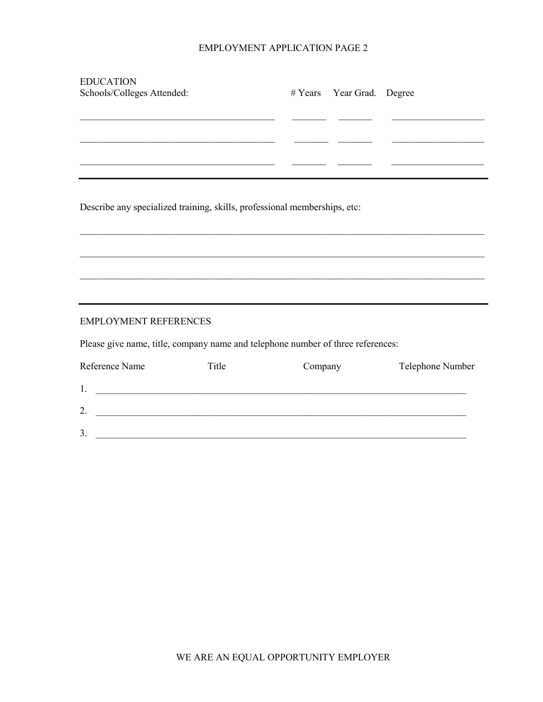## EMPLOYMENT APPLICATION PAGE 2

| <b>EDUCATION</b>                                                                                                              |                                                                                                                       |         |                           |                  |
|-------------------------------------------------------------------------------------------------------------------------------|-----------------------------------------------------------------------------------------------------------------------|---------|---------------------------|------------------|
| Schools/Colleges Attended:                                                                                                    |                                                                                                                       |         | # Years Year Grad. Degree |                  |
|                                                                                                                               |                                                                                                                       |         |                           |                  |
|                                                                                                                               |                                                                                                                       |         |                           |                  |
|                                                                                                                               |                                                                                                                       |         |                           |                  |
|                                                                                                                               |                                                                                                                       |         |                           |                  |
|                                                                                                                               | <u> 1989 - Johann Stein, mars an deus Amerikaansk kommunister (* 1958)</u>                                            |         |                           |                  |
|                                                                                                                               |                                                                                                                       |         |                           |                  |
|                                                                                                                               |                                                                                                                       |         |                           |                  |
| Describe any specialized training, skills, professional memberships, etc:                                                     |                                                                                                                       |         |                           |                  |
|                                                                                                                               |                                                                                                                       |         |                           |                  |
|                                                                                                                               |                                                                                                                       |         |                           |                  |
|                                                                                                                               |                                                                                                                       |         |                           |                  |
|                                                                                                                               |                                                                                                                       |         |                           |                  |
|                                                                                                                               |                                                                                                                       |         |                           |                  |
|                                                                                                                               |                                                                                                                       |         |                           |                  |
| <b>EMPLOYMENT REFERENCES</b>                                                                                                  |                                                                                                                       |         |                           |                  |
|                                                                                                                               |                                                                                                                       |         |                           |                  |
| Please give name, title, company name and telephone number of three references:                                               |                                                                                                                       |         |                           |                  |
| Reference Name                                                                                                                | Title                                                                                                                 | Company |                           | Telephone Number |
|                                                                                                                               |                                                                                                                       |         |                           |                  |
|                                                                                                                               |                                                                                                                       |         |                           |                  |
| 2.<br><u> 1999 - Johann Harry Harry Harry Harry Harry Harry Harry Harry Harry Harry Harry Harry Harry Harry Harry Harry H</u> |                                                                                                                       |         |                           |                  |
| 3.                                                                                                                            |                                                                                                                       |         |                           |                  |
|                                                                                                                               | <u> 1989 - Johann Stoff, deutscher Stoff, der Stoff, der Stoff, der Stoff, der Stoff, der Stoff, der Stoff, der S</u> |         |                           |                  |